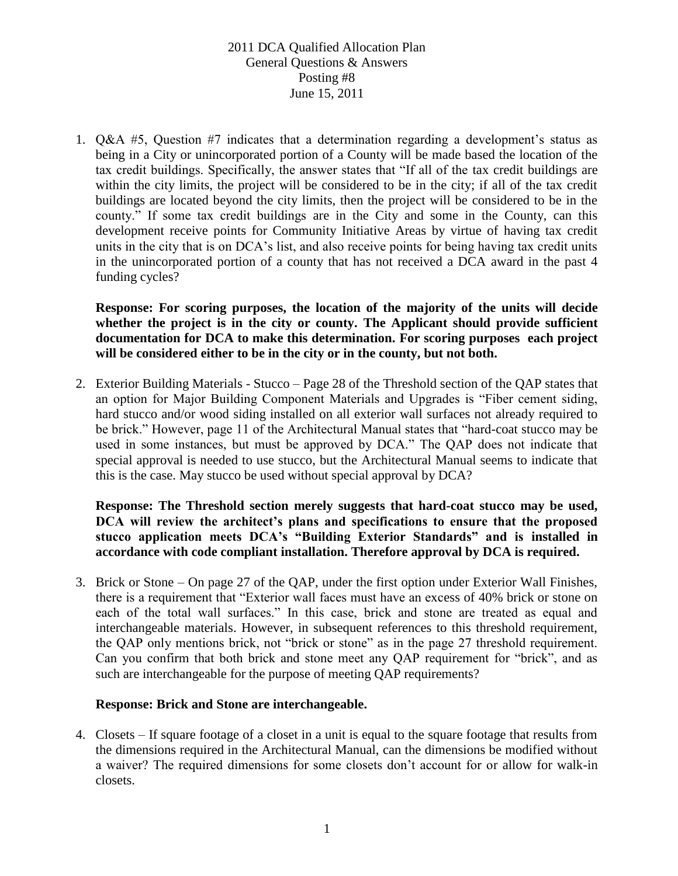1. Q&A #5, Question #7 indicates that a determination regarding a development's status as being in a City or unincorporated portion of a County will be made based the location of the tax credit buildings. Specifically, the answer states that "If all of the tax credit buildings are within the city limits, the project will be considered to be in the city; if all of the tax credit buildings are located beyond the city limits, then the project will be considered to be in the county." If some tax credit buildings are in the City and some in the County, can this development receive points for Community Initiative Areas by virtue of having tax credit units in the city that is on DCA's list, and also receive points for being having tax credit units in the unincorporated portion of a county that has not received a DCA award in the past 4 funding cycles?

**Response: For scoring purposes, the location of the majority of the units will decide whether the project is in the city or county. The Applicant should provide sufficient documentation for DCA to make this determination. For scoring purposes each project will be considered either to be in the city or in the county, but not both.** 

2. Exterior Building Materials - Stucco – Page 28 of the Threshold section of the QAP states that an option for Major Building Component Materials and Upgrades is "Fiber cement siding, hard stucco and/or wood siding installed on all exterior wall surfaces not already required to be brick." However, page 11 of the Architectural Manual states that "hard-coat stucco may be used in some instances, but must be approved by DCA." The QAP does not indicate that special approval is needed to use stucco, but the Architectural Manual seems to indicate that this is the case. May stucco be used without special approval by DCA?

**Response: The Threshold section merely suggests that hard-coat stucco may be used, DCA will review the architect's plans and specifications to ensure that the proposed stucco application meets DCA's "Building Exterior Standards" and is installed in accordance with code compliant installation. Therefore approval by DCA is required.**

3. Brick or Stone – On page 27 of the QAP, under the first option under Exterior Wall Finishes, there is a requirement that "Exterior wall faces must have an excess of 40% brick or stone on each of the total wall surfaces." In this case, brick and stone are treated as equal and interchangeable materials. However, in subsequent references to this threshold requirement, the QAP only mentions brick, not "brick or stone" as in the page 27 threshold requirement. Can you confirm that both brick and stone meet any QAP requirement for "brick", and as such are interchangeable for the purpose of meeting QAP requirements?

#### **Response: Brick and Stone are interchangeable.**

4. Closets – If square footage of a closet in a unit is equal to the square footage that results from the dimensions required in the Architectural Manual, can the dimensions be modified without a waiver? The required dimensions for some closets don't account for or allow for walk-in closets.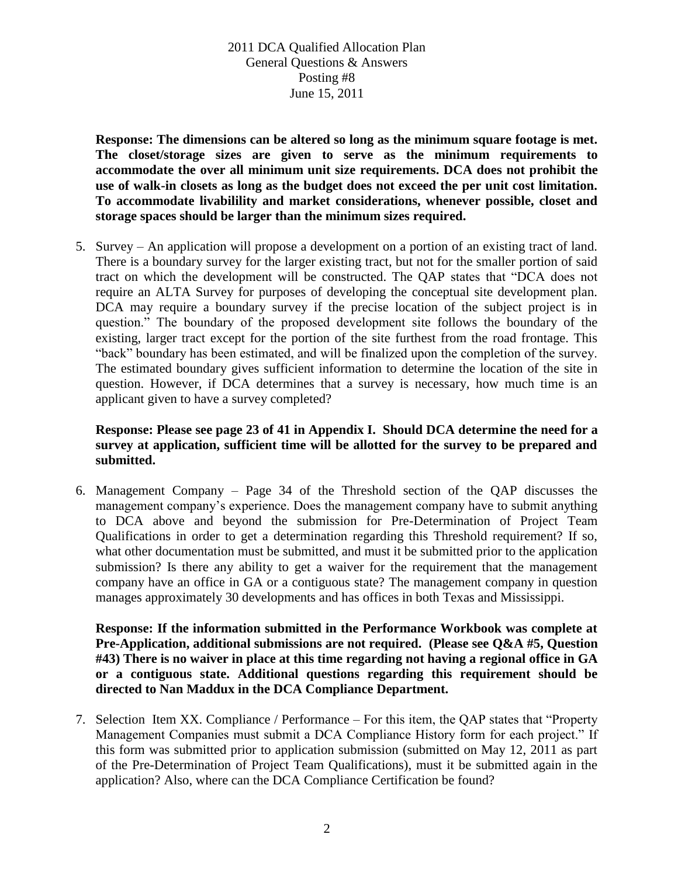**Response: The dimensions can be altered so long as the minimum square footage is met. The closet/storage sizes are given to serve as the minimum requirements to accommodate the over all minimum unit size requirements. DCA does not prohibit the use of walk-in closets as long as the budget does not exceed the per unit cost limitation. To accommodate livabilility and market considerations, whenever possible, closet and storage spaces should be larger than the minimum sizes required.**

5. Survey – An application will propose a development on a portion of an existing tract of land. There is a boundary survey for the larger existing tract, but not for the smaller portion of said tract on which the development will be constructed. The QAP states that "DCA does not require an ALTA Survey for purposes of developing the conceptual site development plan. DCA may require a boundary survey if the precise location of the subject project is in question." The boundary of the proposed development site follows the boundary of the existing, larger tract except for the portion of the site furthest from the road frontage. This "back" boundary has been estimated, and will be finalized upon the completion of the survey. The estimated boundary gives sufficient information to determine the location of the site in question. However, if DCA determines that a survey is necessary, how much time is an applicant given to have a survey completed?

### **Response: Please see page 23 of 41 in Appendix I. Should DCA determine the need for a survey at application, sufficient time will be allotted for the survey to be prepared and submitted.**

6. Management Company – Page 34 of the Threshold section of the QAP discusses the management company's experience. Does the management company have to submit anything to DCA above and beyond the submission for Pre-Determination of Project Team Qualifications in order to get a determination regarding this Threshold requirement? If so, what other documentation must be submitted, and must it be submitted prior to the application submission? Is there any ability to get a waiver for the requirement that the management company have an office in GA or a contiguous state? The management company in question manages approximately 30 developments and has offices in both Texas and Mississippi.

**Response: If the information submitted in the Performance Workbook was complete at Pre-Application, additional submissions are not required. (Please see Q&A #5, Question #43) There is no waiver in place at this time regarding not having a regional office in GA or a contiguous state. Additional questions regarding this requirement should be directed to Nan Maddux in the DCA Compliance Department.**

7. Selection Item XX. Compliance / Performance – For this item, the QAP states that "Property Management Companies must submit a DCA Compliance History form for each project." If this form was submitted prior to application submission (submitted on May 12, 2011 as part of the Pre-Determination of Project Team Qualifications), must it be submitted again in the application? Also, where can the DCA Compliance Certification be found?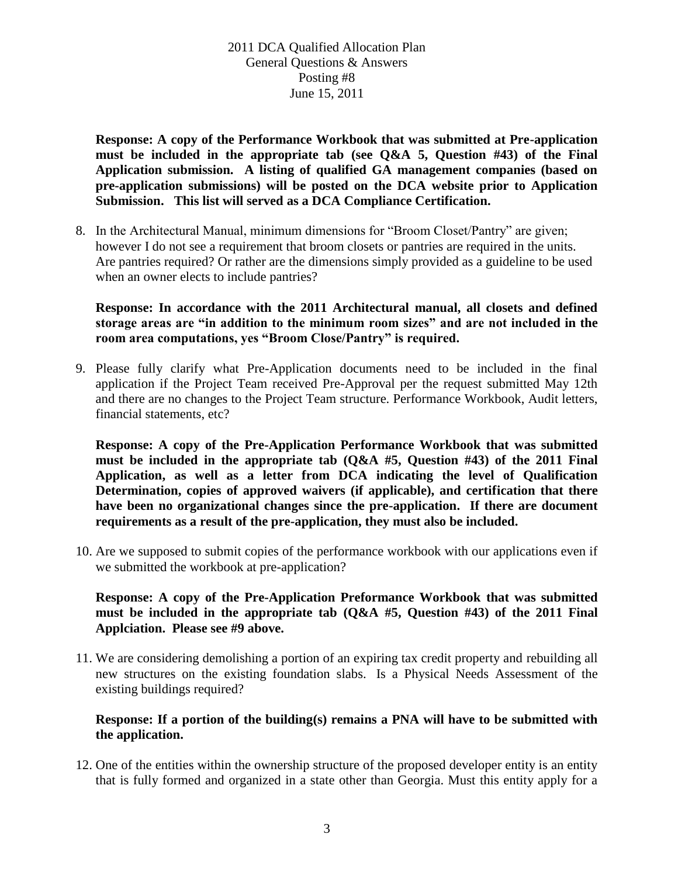**Response: A copy of the Performance Workbook that was submitted at Pre-application must be included in the appropriate tab (see Q&A 5, Question #43) of the Final Application submission. A listing of qualified GA management companies (based on pre-application submissions) will be posted on the DCA website prior to Application Submission. This list will served as a DCA Compliance Certification.**

8. In the Architectural Manual, minimum dimensions for "Broom Closet/Pantry" are given; however I do not see a requirement that broom closets or pantries are required in the units. Are pantries required? Or rather are the dimensions simply provided as a guideline to be used when an owner elects to include pantries?

**Response: In accordance with the 2011 Architectural manual, all closets and defined storage areas are "in addition to the minimum room sizes" and are not included in the room area computations, yes "Broom Close/Pantry" is required.**

9. Please fully clarify what Pre-Application documents need to be included in the final application if the Project Team received Pre-Approval per the request submitted May 12th and there are no changes to the Project Team structure. Performance Workbook, Audit letters, financial statements, etc?

**Response: A copy of the Pre-Application Performance Workbook that was submitted must be included in the appropriate tab (Q&A #5, Question #43) of the 2011 Final Application, as well as a letter from DCA indicating the level of Qualification Determination, copies of approved waivers (if applicable), and certification that there have been no organizational changes since the pre-application. If there are document requirements as a result of the pre-application, they must also be included.**

10. Are we supposed to submit copies of the performance workbook with our applications even if we submitted the workbook at pre-application?

#### **Response: A copy of the Pre-Application Preformance Workbook that was submitted must be included in the appropriate tab (Q&A #5, Question #43) of the 2011 Final Applciation. Please see #9 above.**

11. We are considering demolishing a portion of an expiring tax credit property and rebuilding all new structures on the existing foundation slabs. Is a Physical Needs Assessment of the existing buildings required?

### **Response: If a portion of the building(s) remains a PNA will have to be submitted with the application.**

12. One of the entities within the ownership structure of the proposed developer entity is an entity that is fully formed and organized in a state other than Georgia. Must this entity apply for a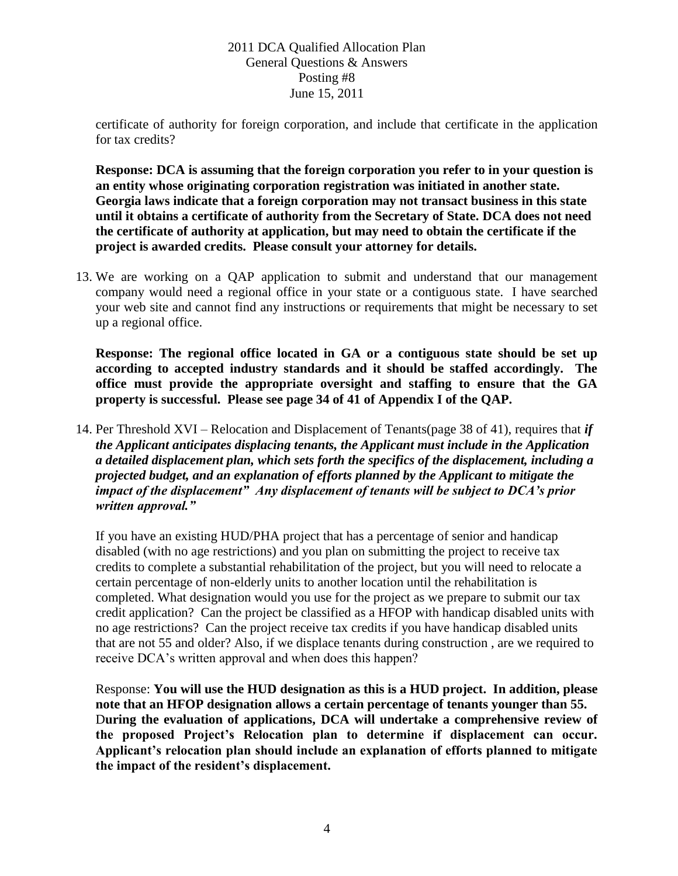certificate of authority for foreign corporation, and include that certificate in the application for tax credits?

**Response: DCA is assuming that the foreign corporation you refer to in your question is an entity whose originating corporation registration was initiated in another state. Georgia laws indicate that a foreign corporation may not transact business in this state until it obtains a certificate of authority from the Secretary of State. DCA does not need the certificate of authority at application, but may need to obtain the certificate if the project is awarded credits. Please consult your attorney for details.**

13. We are working on a QAP application to submit and understand that our management company would need a regional office in your state or a contiguous state. I have searched your web site and cannot find any instructions or requirements that might be necessary to set up a regional office.

**Response: The regional office located in GA or a contiguous state should be set up according to accepted industry standards and it should be staffed accordingly. The office must provide the appropriate oversight and staffing to ensure that the GA property is successful. Please see page 34 of 41 of Appendix I of the QAP.**

14. Per Threshold XVI – Relocation and Displacement of Tenants(page 38 of 41), requires that *if the Applicant anticipates displacing tenants, the Applicant must include in the Application a detailed displacement plan, which sets forth the specifics of the displacement, including a projected budget, and an explanation of efforts planned by the Applicant to mitigate the impact of the displacement" Any displacement of tenants will be subject to DCA's prior written approval."*

If you have an existing HUD/PHA project that has a percentage of senior and handicap disabled (with no age restrictions) and you plan on submitting the project to receive tax credits to complete a substantial rehabilitation of the project, but you will need to relocate a certain percentage of non-elderly units to another location until the rehabilitation is completed. What designation would you use for the project as we prepare to submit our tax credit application? Can the project be classified as a HFOP with handicap disabled units with no age restrictions? Can the project receive tax credits if you have handicap disabled units that are not 55 and older? Also, if we displace tenants during construction , are we required to receive DCA's written approval and when does this happen?

Response: **You will use the HUD designation as this is a HUD project. In addition, please note that an HFOP designation allows a certain percentage of tenants younger than 55.** D**uring the evaluation of applications, DCA will undertake a comprehensive review of the proposed Project's Relocation plan to determine if displacement can occur. Applicant's relocation plan should include an explanation of efforts planned to mitigate the impact of the resident's displacement.**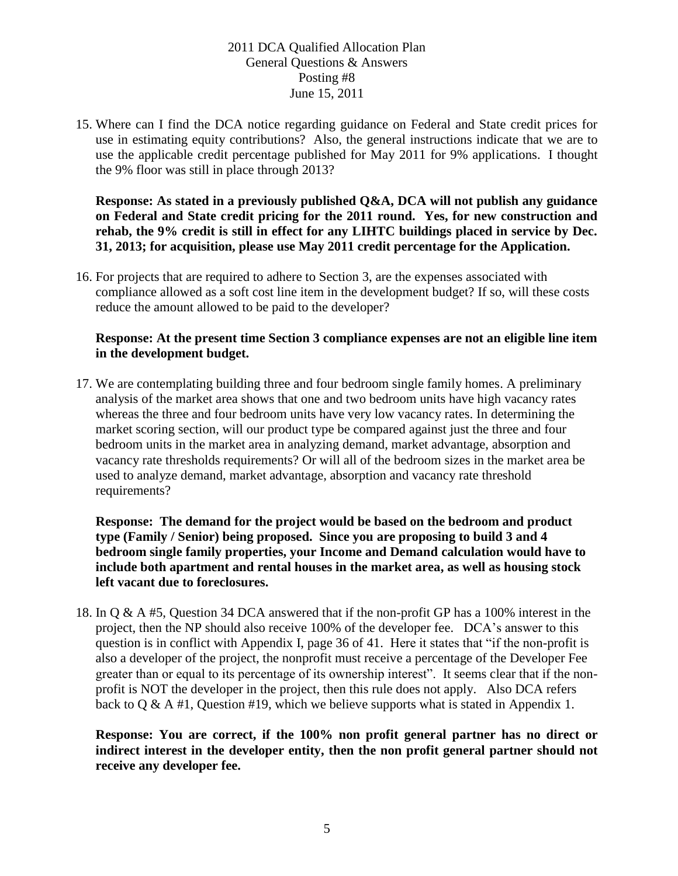15. Where can I find the DCA notice regarding guidance on Federal and State credit prices for use in estimating equity contributions? Also, the general instructions indicate that we are to use the applicable credit percentage published for May 2011 for 9% applications. I thought the 9% floor was still in place through 2013?

**Response: As stated in a previously published Q&A, DCA will not publish any guidance on Federal and State credit pricing for the 2011 round. Yes, for new construction and rehab, the 9% credit is still in effect for any LIHTC buildings placed in service by Dec. 31, 2013; for acquisition, please use May 2011 credit percentage for the Application.**

16. For projects that are required to adhere to Section 3, are the expenses associated with compliance allowed as a soft cost line item in the development budget? If so, will these costs reduce the amount allowed to be paid to the developer?

### **Response: At the present time Section 3 compliance expenses are not an eligible line item in the development budget.**

17. We are contemplating building three and four bedroom single family homes. A preliminary analysis of the market area shows that one and two bedroom units have high vacancy rates whereas the three and four bedroom units have very low vacancy rates. In determining the market scoring section, will our product type be compared against just the three and four bedroom units in the market area in analyzing demand, market advantage, absorption and vacancy rate thresholds requirements? Or will all of the bedroom sizes in the market area be used to analyze demand, market advantage, absorption and vacancy rate threshold requirements?

**Response: The demand for the project would be based on the bedroom and product type (Family / Senior) being proposed. Since you are proposing to build 3 and 4 bedroom single family properties, your Income and Demand calculation would have to include both apartment and rental houses in the market area, as well as housing stock left vacant due to foreclosures.** 

18. In Q & A #5, Question 34 DCA answered that if the non-profit GP has a 100% interest in the project, then the NP should also receive 100% of the developer fee. DCA's answer to this question is in conflict with Appendix I, page 36 of 41. Here it states that "if the non-profit is also a developer of the project, the nonprofit must receive a percentage of the Developer Fee greater than or equal to its percentage of its ownership interest". It seems clear that if the nonprofit is NOT the developer in the project, then this rule does not apply. Also DCA refers back to  $Q \& A \#1$ , Question #19, which we believe supports what is stated in Appendix 1.

**Response: You are correct, if the 100% non profit general partner has no direct or indirect interest in the developer entity, then the non profit general partner should not receive any developer fee.**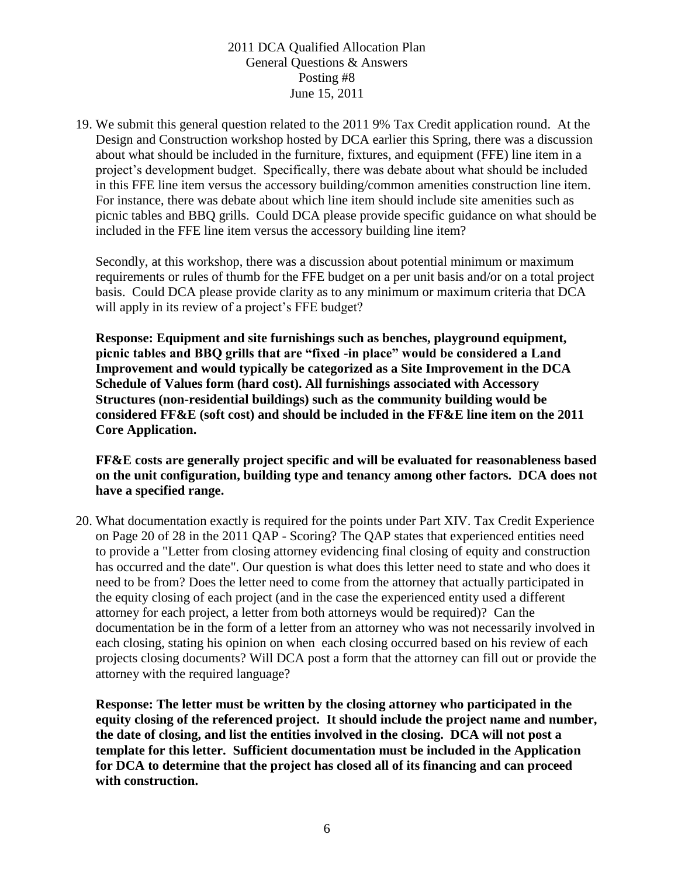19. We submit this general question related to the 2011 9% Tax Credit application round. At the Design and Construction workshop hosted by DCA earlier this Spring, there was a discussion about what should be included in the furniture, fixtures, and equipment (FFE) line item in a project's development budget. Specifically, there was debate about what should be included in this FFE line item versus the accessory building/common amenities construction line item. For instance, there was debate about which line item should include site amenities such as picnic tables and BBQ grills. Could DCA please provide specific guidance on what should be included in the FFE line item versus the accessory building line item?

Secondly, at this workshop, there was a discussion about potential minimum or maximum requirements or rules of thumb for the FFE budget on a per unit basis and/or on a total project basis. Could DCA please provide clarity as to any minimum or maximum criteria that DCA will apply in its review of a project's FFE budget?

**Response: Equipment and site furnishings such as benches, playground equipment, picnic tables and BBQ grills that are "fixed -in place" would be considered a Land Improvement and would typically be categorized as a Site Improvement in the DCA Schedule of Values form (hard cost). All furnishings associated with Accessory Structures (non-residential buildings) such as the community building would be considered FF&E (soft cost) and should be included in the FF&E line item on the 2011 Core Application.**

**FF&E costs are generally project specific and will be evaluated for reasonableness based on the unit configuration, building type and tenancy among other factors. DCA does not have a specified range.**

20. What documentation exactly is required for the points under Part XIV. Tax Credit Experience on Page 20 of 28 in the 2011 QAP - Scoring? The QAP states that experienced entities need to provide a "Letter from closing attorney evidencing final closing of equity and construction has occurred and the date". Our question is what does this letter need to state and who does it need to be from? Does the letter need to come from the attorney that actually participated in the equity closing of each project (and in the case the experienced entity used a different attorney for each project, a letter from both attorneys would be required)? Can the documentation be in the form of a letter from an attorney who was not necessarily involved in each closing, stating his opinion on when each closing occurred based on his review of each projects closing documents? Will DCA post a form that the attorney can fill out or provide the attorney with the required language?

**Response: The letter must be written by the closing attorney who participated in the equity closing of the referenced project. It should include the project name and number, the date of closing, and list the entities involved in the closing. DCA will not post a template for this letter. Sufficient documentation must be included in the Application for DCA to determine that the project has closed all of its financing and can proceed with construction.**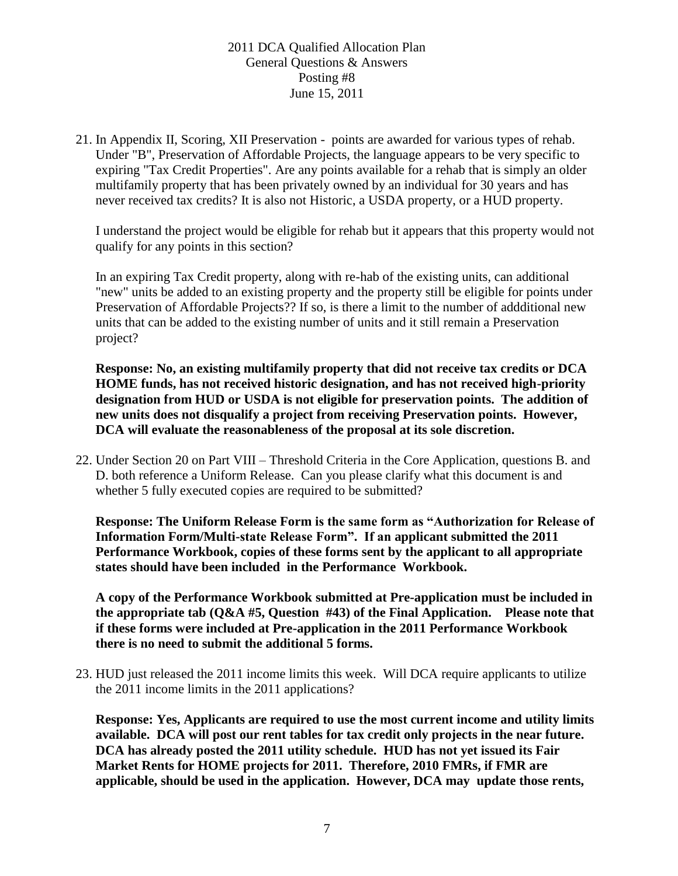21. In Appendix II, Scoring, XII Preservation - points are awarded for various types of rehab. Under "B", Preservation of Affordable Projects, the language appears to be very specific to expiring "Tax Credit Properties". Are any points available for a rehab that is simply an older multifamily property that has been privately owned by an individual for 30 years and has never received tax credits? It is also not Historic, a USDA property, or a HUD property.

I understand the project would be eligible for rehab but it appears that this property would not qualify for any points in this section?

In an expiring Tax Credit property, along with re-hab of the existing units, can additional "new" units be added to an existing property and the property still be eligible for points under Preservation of Affordable Projects?? If so, is there a limit to the number of addditional new units that can be added to the existing number of units and it still remain a Preservation project?

**Response: No, an existing multifamily property that did not receive tax credits or DCA HOME funds, has not received historic designation, and has not received high-priority designation from HUD or USDA is not eligible for preservation points. The addition of new units does not disqualify a project from receiving Preservation points. However, DCA will evaluate the reasonableness of the proposal at its sole discretion.**

22. Under Section 20 on Part VIII – Threshold Criteria in the Core Application, questions B. and D. both reference a Uniform Release. Can you please clarify what this document is and whether 5 fully executed copies are required to be submitted?

**Response: The Uniform Release Form is the same form as "Authorization for Release of Information Form/Multi-state Release Form". If an applicant submitted the 2011 Performance Workbook, copies of these forms sent by the applicant to all appropriate states should have been included in the Performance Workbook.** 

**A copy of the Performance Workbook submitted at Pre-application must be included in the appropriate tab (Q&A #5, Question #43) of the Final Application. Please note that if these forms were included at Pre-application in the 2011 Performance Workbook there is no need to submit the additional 5 forms.**

23. HUD just released the 2011 income limits this week. Will DCA require applicants to utilize the 2011 income limits in the 2011 applications?

**Response: Yes, Applicants are required to use the most current income and utility limits available. DCA will post our rent tables for tax credit only projects in the near future. DCA has already posted the 2011 utility schedule. HUD has not yet issued its Fair Market Rents for HOME projects for 2011. Therefore, 2010 FMRs, if FMR are applicable, should be used in the application. However, DCA may update those rents,**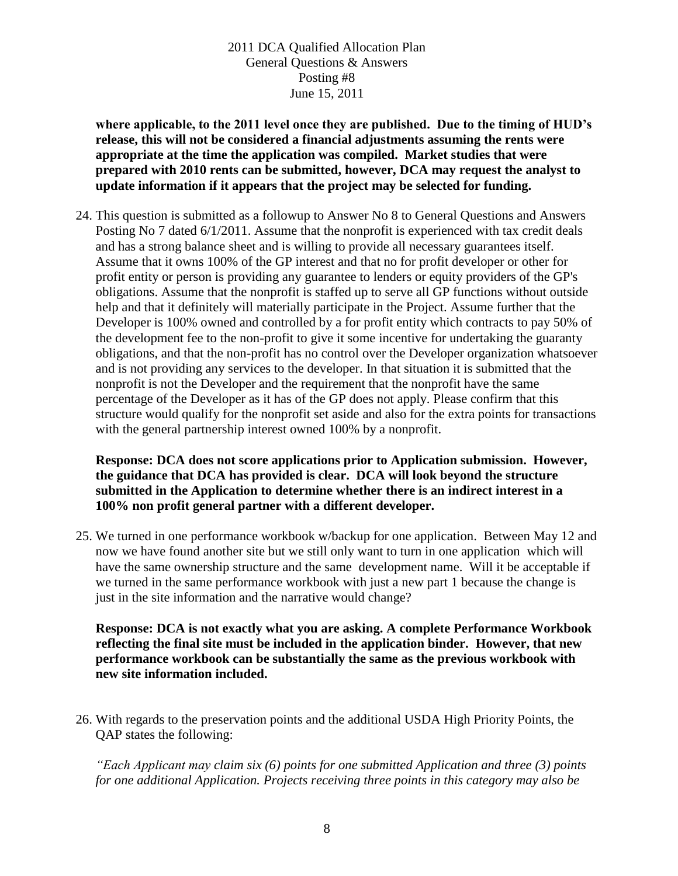**where applicable, to the 2011 level once they are published. Due to the timing of HUD's release, this will not be considered a financial adjustments assuming the rents were appropriate at the time the application was compiled. Market studies that were prepared with 2010 rents can be submitted, however, DCA may request the analyst to update information if it appears that the project may be selected for funding.**

24. This question is submitted as a followup to Answer No 8 to General Questions and Answers Posting No 7 dated 6/1/2011. Assume that the nonprofit is experienced with tax credit deals and has a strong balance sheet and is willing to provide all necessary guarantees itself. Assume that it owns 100% of the GP interest and that no for profit developer or other for profit entity or person is providing any guarantee to lenders or equity providers of the GP's obligations. Assume that the nonprofit is staffed up to serve all GP functions without outside help and that it definitely will materially participate in the Project. Assume further that the Developer is 100% owned and controlled by a for profit entity which contracts to pay 50% of the development fee to the non-profit to give it some incentive for undertaking the guaranty obligations, and that the non-profit has no control over the Developer organization whatsoever and is not providing any services to the developer. In that situation it is submitted that the nonprofit is not the Developer and the requirement that the nonprofit have the same percentage of the Developer as it has of the GP does not apply. Please confirm that this structure would qualify for the nonprofit set aside and also for the extra points for transactions with the general partnership interest owned 100% by a nonprofit.

**Response: DCA does not score applications prior to Application submission. However, the guidance that DCA has provided is clear. DCA will look beyond the structure submitted in the Application to determine whether there is an indirect interest in a 100% non profit general partner with a different developer.**

25. We turned in one performance workbook w/backup for one application. Between May 12 and now we have found another site but we still only want to turn in one application which will have the same ownership structure and the same development name. Will it be acceptable if we turned in the same performance workbook with just a new part 1 because the change is just in the site information and the narrative would change?

**Response: DCA is not exactly what you are asking. A complete Performance Workbook reflecting the final site must be included in the application binder. However, that new performance workbook can be substantially the same as the previous workbook with new site information included.**

26. With regards to the preservation points and the additional USDA High Priority Points, the QAP states the following:

*"Each Applicant may claim six (6) points for one submitted Application and three (3) points for one additional Application. Projects receiving three points in this category may also be*